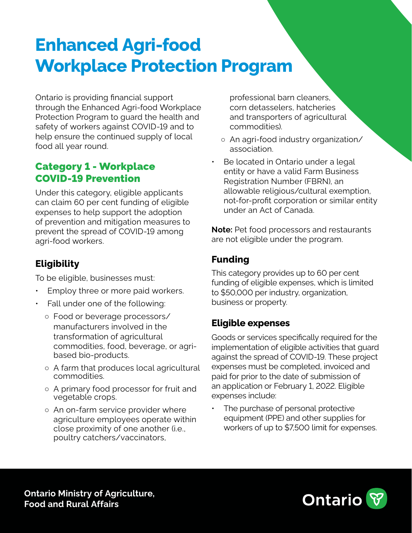# **Enhanced Agri-food Workplace Protection Program**

Ontario is providing financial support through the Enhanced Agri-food Workplace Protection Program to guard the health and safety of workers against COVID-19 and to help ensure the continued supply of local food all year round.

### Category 1 - Workplace COVID-19 Prevention

Under this category, eligible applicants can claim 60 per cent funding of eligible expenses to help support the adoption of prevention and mitigation measures to prevent the spread of COVID-19 among agri-food workers.

# **Eligibility**

To be eligible, businesses must:

- Employ three or more paid workers.
- Fall under one of the following:
	- Food or beverage processors/ manufacturers involved in the transformation of agricultural commodities, food, beverage, or agribased bio-products.
	- A farm that produces local agricultural commodities.
	- A primary food processor for fruit and vegetable crops.
	- An on-farm service provider where agriculture employees operate within close proximity of one another (i.e., poultry catchers/vaccinators,

professional barn cleaners, corn detasselers, hatcheries and transporters of agricultural commodities).

- An agri-food industry organization/ association.
- Be located in Ontario under a legal entity or have a valid Farm Business Registration Number (FBRN), an allowable religious/cultural exemption, not-for-profit corporation or similar entity under an Act of Canada.

**Note:** Pet food processors and restaurants are not eligible under the program.

## **Funding**

This category provides up to 60 per cent funding of eligible expenses, which is limited to \$50,000 per industry, organization, business or property.

#### **Eligible expenses**

Goods or services specifically required for the implementation of eligible activities that guard against the spread of COVID-19. These project expenses must be completed, invoiced and paid for prior to the date of submission of an application or February 1, 2022. Eligible expenses include:

The purchase of personal protective equipment (PPE) and other supplies for workers of up to \$7,500 limit for expenses.